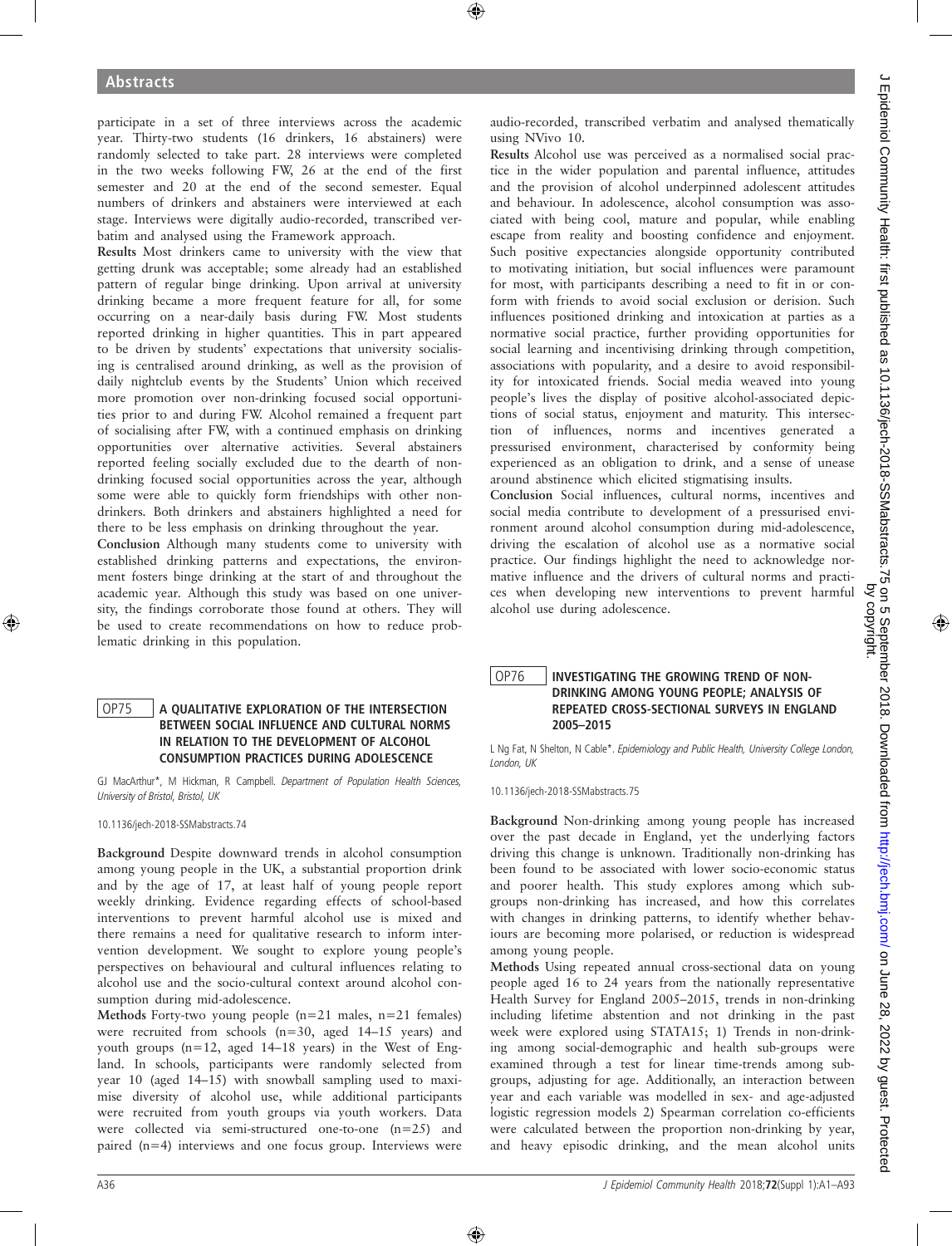participate in a set of three interviews across the academic year. Thirty-two students (16 drinkers, 16 abstainers) were randomly selected to take part. 28 interviews were completed in the two weeks following FW, 26 at the end of the first semester and 20 at the end of the second semester. Equal numbers of drinkers and abstainers were interviewed at each stage. Interviews were digitally audio-recorded, transcribed verbatim and analysed using the Framework approach.

Results Most drinkers came to university with the view that getting drunk was acceptable; some already had an established pattern of regular binge drinking. Upon arrival at university drinking became a more frequent feature for all, for some occurring on a near-daily basis during FW. Most students reported drinking in higher quantities. This in part appeared to be driven by students' expectations that university socialising is centralised around drinking, as well as the provision of daily nightclub events by the Students' Union which received more promotion over non-drinking focused social opportunities prior to and during FW. Alcohol remained a frequent part of socialising after FW, with a continued emphasis on drinking opportunities over alternative activities. Several abstainers reported feeling socially excluded due to the dearth of nondrinking focused social opportunities across the year, although some were able to quickly form friendships with other nondrinkers. Both drinkers and abstainers highlighted a need for there to be less emphasis on drinking throughout the year.

Conclusion Although many students come to university with established drinking patterns and expectations, the environment fosters binge drinking at the start of and throughout the academic year. Although this study was based on one university, the findings corroborate those found at others. They will be used to create recommendations on how to reduce problematic drinking in this population.

### OP75 A QUALITATIVE EXPLORATION OF THE INTERSECTION BETWEEN SOCIAL INFLUENCE AND CULTURAL NORMS IN RELATION TO THE DEVELOPMENT OF ALCOHOL CONSUMPTION PRACTICES DURING ADOLESCENCE

GJ MacArthur\*, M Hickman, R Campbell. Department of Population Health Sciences, University of Bristol, Bristol, UK

10.1136/jech-2018-SSMabstracts.74

Background Despite downward trends in alcohol consumption among young people in the UK, a substantial proportion drink and by the age of 17, at least half of young people report weekly drinking. Evidence regarding effects of school-based interventions to prevent harmful alcohol use is mixed and there remains a need for qualitative research to inform intervention development. We sought to explore young people's perspectives on behavioural and cultural influences relating to alcohol use and the socio-cultural context around alcohol consumption during mid-adolescence.

Methods Forty-two young people  $(n=21 \text{ males}, n=21 \text{ females})$ were recruited from schools (n=30, aged 14–15 years) and youth groups (n=12, aged 14–18 years) in the West of England. In schools, participants were randomly selected from year 10 (aged 14–15) with snowball sampling used to maximise diversity of alcohol use, while additional participants were recruited from youth groups via youth workers. Data were collected via semi-structured one-to-one (n=25) and paired (n=4) interviews and one focus group. Interviews were

audio-recorded, transcribed verbatim and analysed thematically using NVivo 10.

Results Alcohol use was perceived as a normalised social practice in the wider population and parental influence, attitudes and the provision of alcohol underpinned adolescent attitudes and behaviour. In adolescence, alcohol consumption was associated with being cool, mature and popular, while enabling escape from reality and boosting confidence and enjoyment. Such positive expectancies alongside opportunity contributed to motivating initiation, but social influences were paramount for most, with participants describing a need to fit in or conform with friends to avoid social exclusion or derision. Such influences positioned drinking and intoxication at parties as a normative social practice, further providing opportunities for social learning and incentivising drinking through competition, associations with popularity, and a desire to avoid responsibility for intoxicated friends. Social media weaved into young people's lives the display of positive alcohol-associated depictions of social status, enjoyment and maturity. This intersection of influences, norms and incentives generated a pressurised environment, characterised by conformity being experienced as an obligation to drink, and a sense of unease around abstinence which elicited stigmatising insults.

Conclusion Social influences, cultural norms, incentives and social media contribute to development of a pressurised environment around alcohol consumption during mid-adolescence, driving the escalation of alcohol use as a normative social practice. Our findings highlight the need to acknowledge normative influence and the drivers of cultural norms and practices when developing new interventions to prevent harmful alcohol use during adolescence.

#### OP76 | INVESTIGATING THE GROWING TREND OF NON-DRINKING AMONG YOUNG PEOPLE; ANALYSIS OF REPEATED CROSS-SECTIONAL SURVEYS IN ENGLAND 2005–2015

L Ng Fat, N Shelton, N Cable\*. Epidemiology and Public Health, University College London, London, UK

10.1136/jech-2018-SSMabstracts.75

Background Non-drinking among young people has increased over the past decade in England, yet the underlying factors driving this change is unknown. Traditionally non-drinking has been found to be associated with lower socio-economic status and poorer health. This study explores among which subgroups non-drinking has increased, and how this correlates with changes in drinking patterns, to identify whether behaviours are becoming more polarised, or reduction is widespread among young people.

Methods Using repeated annual cross-sectional data on young people aged 16 to 24 years from the nationally representative Health Survey for England 2005–2015, trends in non-drinking including lifetime abstention and not drinking in the past week were explored using STATA15; 1) Trends in non-drinking among social-demographic and health sub-groups were examined through a test for linear time-trends among subgroups, adjusting for age. Additionally, an interaction between year and each variable was modelled in sex- and age-adjusted logistic regression models 2) Spearman correlation co-efficients were calculated between the proportion non-drinking by year, and heavy episodic drinking, and the mean alcohol units